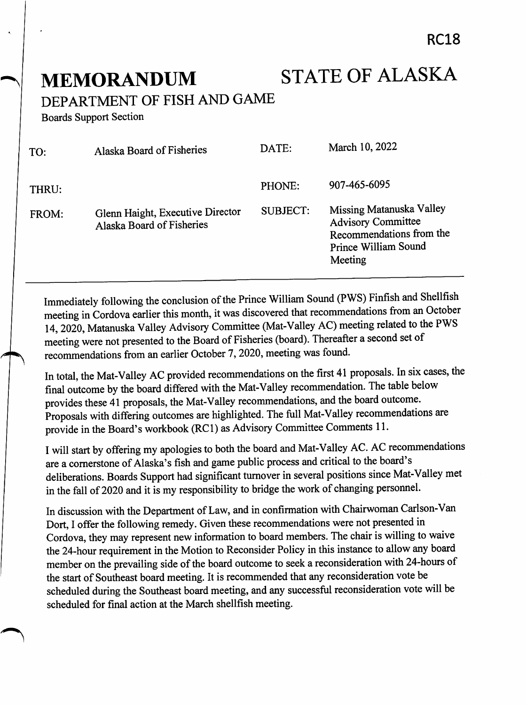**MEMORANDUM STATE OF ALASKA** 

DEPARTMENT OF FISH AND GAME

Boards Support Section

| TO:   | Alaska Board of Fisheries                                     | DATE:    | March 10, 2022                                                                                                       |
|-------|---------------------------------------------------------------|----------|----------------------------------------------------------------------------------------------------------------------|
| THRU: |                                                               | PHONE:   | 907-465-6095                                                                                                         |
| FROM: | Glenn Haight, Executive Director<br>Alaska Board of Fisheries | SUBJECT: | Missing Matanuska Valley<br><b>Advisory Committee</b><br>Recommendations from the<br>Prince William Sound<br>Meeting |

Immediately following the conclusion of the Prince William Sound (PWS) Finfish and Shellfish meeting in Cordova earlier this month, it was discovered that recommendations from an October 14, 2020, Matanuska Valley Advisory Committee (Mat-Valley AC) meeting related to the PWS meeting were not presented to the Board of Fisheries (board). Thereafter a second set of recommendations from an earlier October 7,2020, meeting was found.

In total, the Mat-Valley AC provided recommendations on the first 41 proposals. In six cases, the final outcome by the board differed with the Mat-Valley recommendation. The table below provides these 41 proposals, the Mat-Valley recommendations, and the board outcome. Proposals with differing outcomes are highlighted. The full Mat-Valley recommendations are provide in the Board's workbook (RCl) as Advisory Committee Comments 11.

I will start by offering my apologies to both the board and Mat-Valley AC. AC recommendations are a cornerstone of Alaska's fish and game public process and critical to the board'sdeliberations. Boards Support had significant turnover in several positions since Mat-Valley met in the fall of 2020 and it is my responsibility to bridge the work of changing personnel.

In discussion with the Department of Law, and in confirmation with Chairwoman Carlson-Van Dort, I offer the following remedy. Given these recommendations were not presented in Cordova, they may represent new information to board members. The chair is willing to waive the 24-hour requirement in the Motion to Reconsider Policy in this instance to allow any board member on the prevailing side of the board outcome to seek a reconsideration with 24-hours of the start of Southeast board meeting. It is recommended that any reconsideration vote be scheduled during the Southeast board meeting, and any successful reconsideration vote will be scheduled for final action at the March shellfish meeting.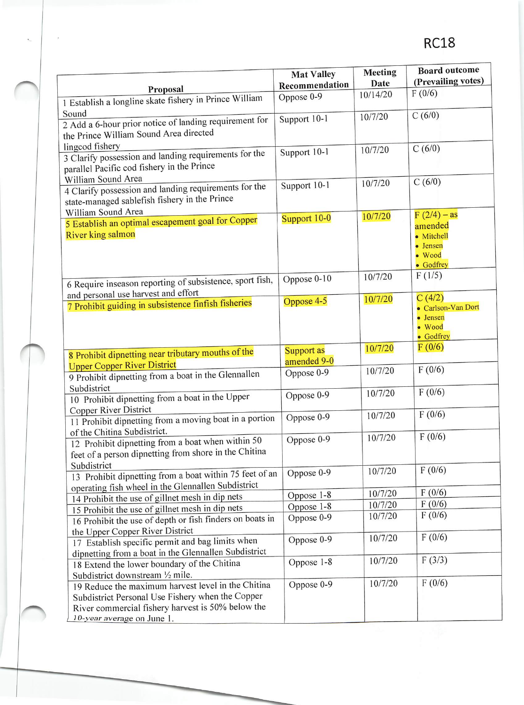|                                                          | <b>Mat Valley</b> | <b>Meeting</b> | <b>Board outcome</b> |
|----------------------------------------------------------|-------------------|----------------|----------------------|
|                                                          | Recommendation    | Date           | (Prevailing votes)   |
| Proposal                                                 | Oppose 0-9        | 10/14/20       | F(0/6)               |
| 1 Establish a longline skate fishery in Prince William   |                   |                |                      |
| Sound                                                    | Support 10-1      | 10/7/20        | C(6/0)               |
| 2 Add a 6-hour prior notice of landing requirement for   |                   |                |                      |
| the Prince William Sound Area directed                   |                   |                |                      |
| lingcod fishery                                          | Support 10-1      | 10/7/20        | C(6/0)               |
| 3 Clarify possession and landing requirements for the    |                   |                |                      |
| parallel Pacific cod fishery in the Prince               |                   |                |                      |
| William Sound Area                                       | Support 10-1      | 10/7/20        | C(6/0)               |
| 4 Clarify possession and landing requirements for the    |                   |                |                      |
| state-managed sablefish fishery in the Prince            |                   |                |                      |
| William Sound Area                                       | Support 10-0      | 10/7/20        | $F(2/4) - as$        |
| 5 Establish an optimal escapement goal for Copper        |                   |                | amended              |
| <b>River king salmon</b>                                 |                   |                | • Mitchell           |
|                                                          |                   |                | • Jensen             |
|                                                          |                   |                | · Wood<br>• Godfrey  |
|                                                          |                   | 10/7/20        | F(1/5)               |
| 6 Require inseason reporting of subsistence, sport fish, | Oppose $0-10$     |                |                      |
| and personal use harvest and effort                      |                   | 10/7/20        | C(4/2)               |
| 7 Prohibit guiding in subsistence finfish fisheries      | Oppose 4-5        |                | · Carlson-Van Dort   |
|                                                          |                   |                | • Jensen             |
|                                                          |                   |                | · Wood               |
|                                                          |                   |                | • Godfrey            |
| 8 Prohibit dipnetting near tributary mouths of the       | <b>Support as</b> | 10/7/20        | F(0/6)               |
| <b>Upper Copper River District</b>                       | amended 9-0       |                |                      |
| 9 Prohibit dipnetting from a boat in the Glennallen      | Oppose 0-9        | 10/7/20        | F(0/6)               |
| Subdistrict                                              |                   |                |                      |
| 10 Prohibit dipnetting from a boat in the Upper          | Oppose 0-9        | 10/7/20        | F(0/6)               |
| Copper River District                                    |                   |                |                      |
| 11 Prohibit dipnetting from a moving boat in a portion   | Oppose 0-9        | 10/7/20        | F(0/6)               |
| of the Chitina Subdistrict.                              |                   |                |                      |
| 12 Prohibit dipnetting from a boat when within 50        | Oppose 0-9        | 10/7/20        | F(0/6)               |
| feet of a person dipnetting from shore in the Chitina    |                   |                |                      |
| Subdistrict                                              |                   |                |                      |
| 13 Prohibit dipnetting from a boat within 75 feet of an  | Oppose 0-9        | 10/7/20        | F(0/6)               |
| operating fish wheel in the Glennallen Subdistrict       |                   |                |                      |
| 14 Prohibit the use of gillnet mesh in dip nets          | Oppose 1-8        | 10/7/20        | F(0/6)               |
| 15 Prohibit the use of gillnet mesh in dip nets          | Oppose 1-8        | 10/7/20        | F(0/6)               |
| 16 Prohibit the use of depth or fish finders on boats in | Oppose 0-9        | 10/7/20        | F(0/6)               |
| the Upper Copper River District                          |                   |                |                      |
| 17 Establish specific permit and bag limits when         | Oppose 0-9        | 10/7/20        | F(0/6)               |
| dipnetting from a boat in the Glennallen Subdistrict     |                   |                |                      |
| 18 Extend the lower boundary of the Chitina              | Oppose 1-8        | 10/7/20        | F(3/3)               |
| Subdistrict downstream 1/2 mile.                         |                   |                |                      |
| 19 Reduce the maximum harvest level in the Chitina       | Oppose 0-9        | 10/7/20        | F(0/6)               |
| Subdistrict Personal Use Fishery when the Copper         |                   |                |                      |
| River commercial fishery harvest is 50% below the        |                   |                |                      |
| 10-year average on June 1.                               |                   |                |                      |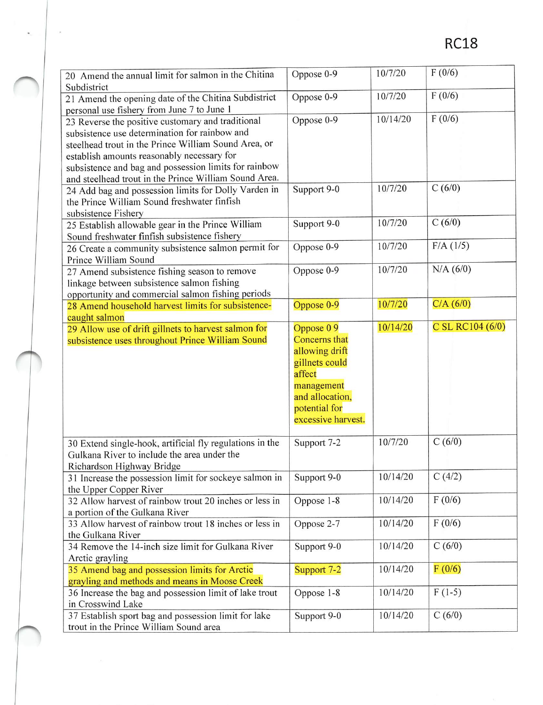| 20 Amend the annual limit for salmon in the Chitina<br>Subdistrict                             | Oppose 0-9           | 10/7/20  | F(0/6)           |
|------------------------------------------------------------------------------------------------|----------------------|----------|------------------|
|                                                                                                | Oppose 0-9           | 10/7/20  | F(0/6)           |
| 21 Amend the opening date of the Chitina Subdistrict                                           |                      |          |                  |
| personal use fishery from June 7 to June 1                                                     |                      | 10/14/20 | F(0/6)           |
| 23 Reverse the positive customary and traditional                                              | Oppose 0-9           |          |                  |
| subsistence use determination for rainbow and                                                  |                      |          |                  |
| steelhead trout in the Prince William Sound Area, or                                           |                      |          |                  |
| establish amounts reasonably necessary for                                                     |                      |          |                  |
| subsistence and bag and possession limits for rainbow                                          |                      |          |                  |
| and steelhead trout in the Prince William Sound Area.                                          |                      |          |                  |
| 24 Add bag and possession limits for Dolly Varden in                                           | Support 9-0          | 10/7/20  | C(6/0)           |
| the Prince William Sound freshwater finfish                                                    |                      |          |                  |
| subsistence Fishery                                                                            |                      |          |                  |
| 25 Establish allowable gear in the Prince William                                              | Support 9-0          | 10/7/20  | C(6/0)           |
| Sound freshwater finfish subsistence fishery                                                   |                      |          |                  |
| 26 Create a community subsistence salmon permit for                                            | Oppose 0-9           | 10/7/20  | F/A (1/5)        |
| Prince William Sound                                                                           |                      |          |                  |
|                                                                                                | Oppose 0-9           | 10/7/20  | N/A (6/0)        |
| 27 Amend subsistence fishing season to remove                                                  |                      |          |                  |
| linkage between subsistence salmon fishing                                                     |                      |          |                  |
| opportunity and commercial salmon fishing periods                                              |                      | 10/7/20  | C/A (6/0)        |
| 28 Amend household harvest limits for subsistence-                                             | Oppose 0-9           |          |                  |
| caught salmon                                                                                  |                      |          |                  |
| 29 Allow use of drift gillnets to harvest salmon for                                           | Oppose 09            | 10/14/20 | C SL RC104 (6/0) |
| subsistence uses throughout Prince William Sound                                               | <b>Concerns</b> that |          |                  |
|                                                                                                |                      |          |                  |
|                                                                                                | allowing drift       |          |                  |
|                                                                                                | gillnets could       |          |                  |
|                                                                                                | affect               |          |                  |
|                                                                                                | management           |          |                  |
|                                                                                                | and allocation,      |          |                  |
|                                                                                                | potential for        |          |                  |
|                                                                                                | excessive harvest.   |          |                  |
|                                                                                                |                      |          |                  |
|                                                                                                |                      | 10/7/20  | C(6/0)           |
| 30 Extend single-hook, artificial fly regulations in the                                       | Support 7-2          |          |                  |
| Gulkana River to include the area under the                                                    |                      |          |                  |
| Richardson Highway Bridge                                                                      |                      |          |                  |
| 31 Increase the possession limit for sockeye salmon in                                         | Support 9-0          | 10/14/20 | C(4/2)           |
| the Upper Copper River                                                                         |                      |          |                  |
| 32 Allow harvest of rainbow trout 20 inches or less in                                         | Oppose 1-8           | 10/14/20 | F(0/6)           |
| a portion of the Gulkana River                                                                 |                      |          |                  |
| 33 Allow harvest of rainbow trout 18 inches or less in                                         | Oppose 2-7           | 10/14/20 | F(0/6)           |
| the Gulkana River                                                                              |                      |          |                  |
| 34 Remove the 14-inch size limit for Gulkana River                                             | Support 9-0          | 10/14/20 | C(6/0)           |
| Arctic grayling                                                                                |                      |          |                  |
| 35 Amend bag and possession limits for Arctic                                                  | Support 7-2          | 10/14/20 | F(0/6)           |
| grayling and methods and means in Moose Creek                                                  |                      |          |                  |
| 36 Increase the bag and possession limit of lake trout                                         | Oppose 1-8           | 10/14/20 | $F(1-5)$         |
| in Crosswind Lake                                                                              |                      |          |                  |
| 37 Establish sport bag and possession limit for lake<br>trout in the Prince William Sound area | Support 9-0          | 10/14/20 | C(6/0)           |